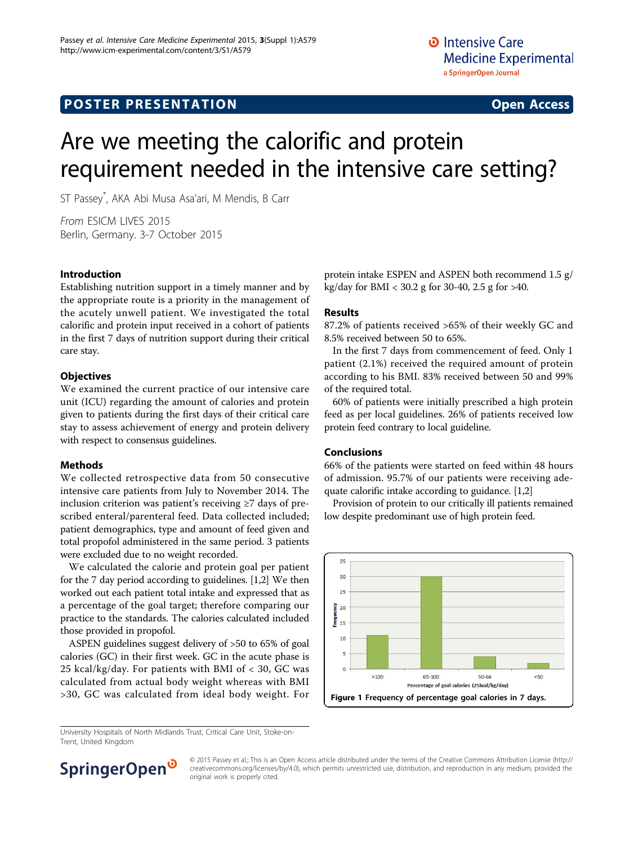# **POSTER PRESENTATION CONSUMING THE SERVICE SERVICE SERVICES**

# Are we meeting the calorific and protein requirement needed in the intensive care setting?

ST Passey\* , AKA Abi Musa Asa'ari, M Mendis, B Carr

From ESICM LIVES 2015 Berlin, Germany. 3-7 October 2015

### Introduction

Establishing nutrition support in a timely manner and by the appropriate route is a priority in the management of the acutely unwell patient. We investigated the total calorific and protein input received in a cohort of patients in the first 7 days of nutrition support during their critical care stay.

## **Objectives**

We examined the current practice of our intensive care unit (ICU) regarding the amount of calories and protein given to patients during the first days of their critical care stay to assess achievement of energy and protein delivery with respect to consensus guidelines.

# Methods

We collected retrospective data from 50 consecutive intensive care patients from July to November 2014. The inclusion criterion was patient's receiving ≥7 days of prescribed enteral/parenteral feed. Data collected included; patient demographics, type and amount of feed given and total propofol administered in the same period. 3 patients were excluded due to no weight recorded.

We calculated the calorie and protein goal per patient for the 7 day period according to guidelines. [\[1,2\]](#page-1-0) We then worked out each patient total intake and expressed that as a percentage of the goal target; therefore comparing our practice to the standards. The calories calculated included those provided in propofol.

ASPEN guidelines suggest delivery of >50 to 65% of goal calories (GC) in their first week. GC in the acute phase is 25 kcal/kg/day. For patients with BMI of < 30, GC was calculated from actual body weight whereas with BMI >30, GC was calculated from ideal body weight. For

protein intake ESPEN and ASPEN both recommend 1.5 g/ kg/day for BMI < 30.2 g for 30-40, 2.5 g for >40.

#### Results

87.2% of patients received >65% of their weekly GC and 8.5% received between 50 to 65%.

In the first 7 days from commencement of feed. Only 1 patient (2.1%) received the required amount of protein according to his BMI. 83% received between 50 and 99% of the required total.

60% of patients were initially prescribed a high protein feed as per local guidelines. 26% of patients received low protein feed contrary to local guideline.

#### Conclusions

66% of the patients were started on feed within 48 hours of admission. 95.7% of our patients were receiving adequate calorific intake according to guidance. [[1,2\]](#page-1-0)

Provision of protein to our critically ill patients remained low despite predominant use of high protein feed.



University Hospitals of North Midlands Trust, Critical Care Unit, Stoke-on-Trent, United Kingdom



© 2015 Passey et al.; This is an Open Access article distributed under the terms of the Creative Commons Attribution License [\(http://](http://creativecommons.org/licenses/by/4.0) [creativecommons.org/licenses/by/4.0](http://creativecommons.org/licenses/by/4.0)), which permits unrestricted use, distribution, and reproduction in any medium, provided the original work is properly cited.